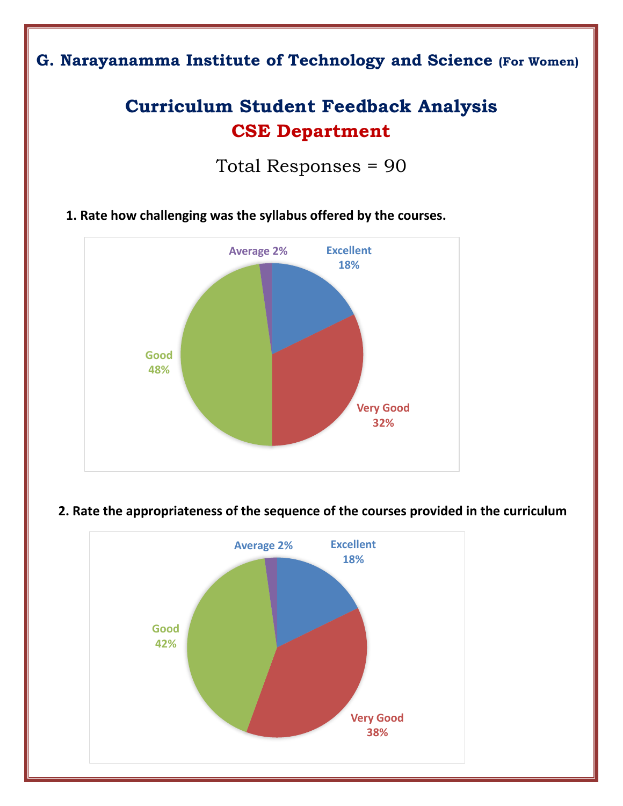## **G. Narayanamma Institute of Technology and Science (For Women)**

# **Curriculum Student Feedback Analysis CSE Department**

Total Responses = 90

**1. Rate how challenging was the syllabus offered by the courses.** 



### **2. Rate the appropriateness of the sequence of the courses provided in the curriculum**

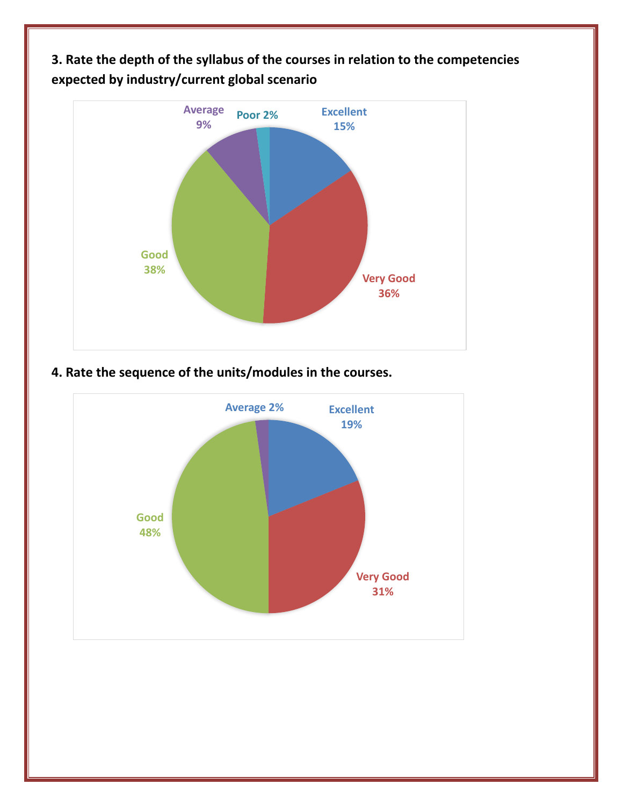**3. Rate the depth of the syllabus of the courses in relation to the competencies expected by industry/current global scenario**



## **4. Rate the sequence of the units/modules in the courses.**

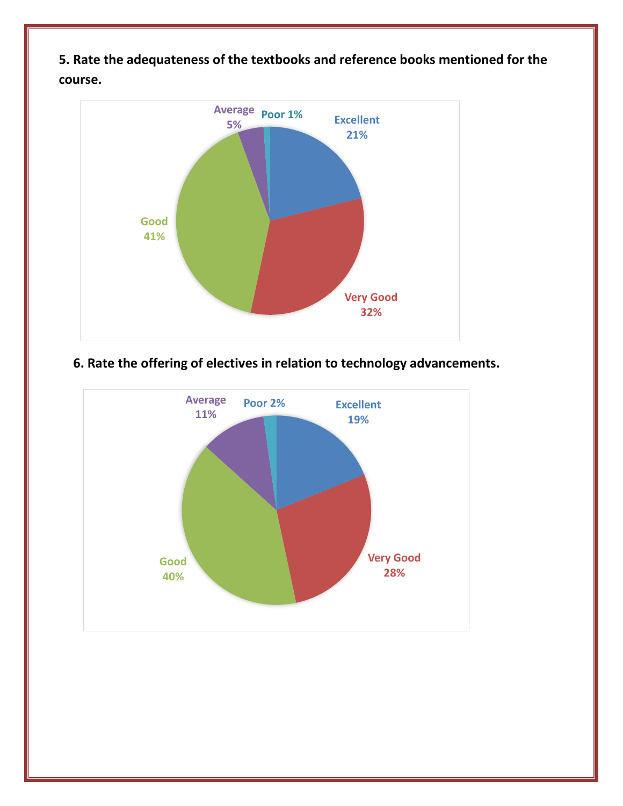

**5. Rate the adequateness of the textbooks and reference books mentioned for the course.**

#### **6. Rate the offering of electives in relation to technology advancements.**

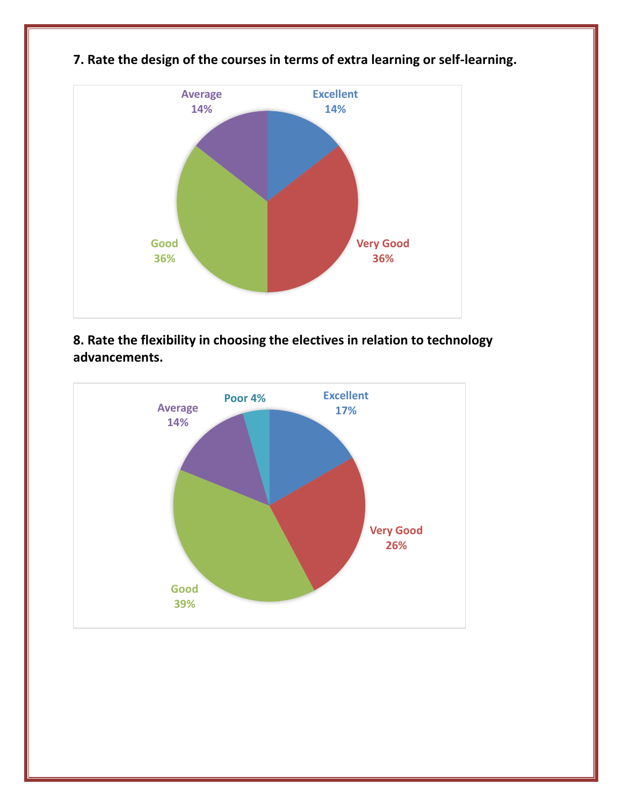

## **7. Rate the design of the courses in terms of extra learning or self-learning.**

**8. Rate the flexibility in choosing the electives in relation to technology advancements.**